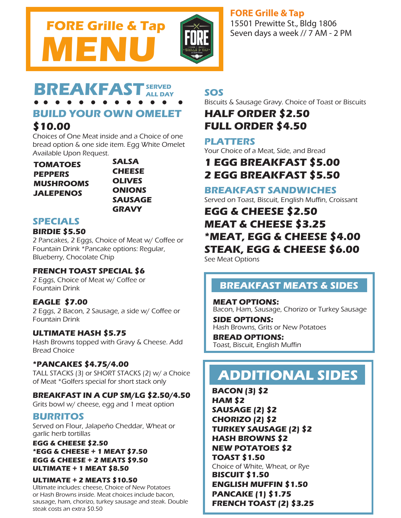

## **FORE Grille &Tap**

15501 Prewitte St., Bldg 1806 Seven days a week // 7 AM - 2 PM

#### BREAKFAS **ALL DAY**

# **BUILD YOUR OWN OMELET**

# **\$10.00**

Choices of One Meat inside and a Choice of one bread option & one side item. Egg White Omelet Available Upon Request.

**TOMATOES PEPPERS MUSHROOMS JALEPENOS**

**SALSA CHEESE OLIVES ONIONS SAUSAGE GRAVY**

## **SPECIALS**

#### **BIRDIE \$5.50**

2 Pancakes, 2 Eggs, Choice of Meat w/ Coffee or Fountain Drink \*Pancake options: Regular, Blueberry, Chocolate Chip

### **FRENCH TOAST SPECIAL \$6**

2 Eggs, Choice of Meat w/ Coffee or Fountain Drink

### **EAGLE \$7.00**

2 Eggs, 2 Bacon, 2 Sausage, a side w/ Coffee or Fountain Drink

#### **ULTIMATE HASH \$5.75**

Hash Browns topped with Gravy & Cheese. Add Bread Choice

#### **\*PANCAKES \$4.75/4.00**

TALL STACKS (3) or SHORT STACKS (2) w/ a Choice of Meat \*Golfers special for short stack only

#### **BREAKFAST IN A CUP SM/LG \$2.50/4.50**

Grits bowl w/ cheese, egg and 1 meat option

### **BURRITOS**

Served on Flour, Jalapeño Cheddar, Wheat or garlic herb tortillas

#### **EGG & CHEESE \$2.50 \*EGG & CHEESE + 1 MEAT \$7.50 EGG & CHEESE + 2 MEATS \$9.50 ULTIMATE + 1 MEAT \$8.50**

#### **ULTIMATE + 2 MEATS \$10.50**

Ultimate includes: cheese, Choice of New Potatoes or Hash Browns inside. Meat choices include bacon, sausage, ham, chorizo, turkey sausage and steak. Double steak costs an extra \$0.50

## **SOS**

Biscuits & Sausage Gravy. Choice of Toast or Biscuits

# **HALF ORDER \$2.50 FULL ORDER \$4.50**

### **PLATTERS**

Your Choice of a Meat, Side, and Bread

# **1 EGG BREAKFAST \$5.00 2 EGG BREAKFAST \$5.50**

### **BREAKFAST SANDWICHES**

Served on Toast, Biscuit, English Muffin, Croissant

# **EGG & CHEESE \$2.50 MEAT & CHEESE \$3.25 \*MEAT, EGG & CHEESE \$4.00 STEAK, EGG & CHEESE \$6.00** See Meat Options

# **BREAKFAST MEATS & SIDES**

**MEAT OPTIONS:** Bacon, Ham, Sausage, Chorizo or Turkey Sausage **SIDE OPTIONS:** Hash Browns, Grits or New Potatoes

**BREAD OPTIONS:** Toast, Biscuit, English Muffin

# **ADDITIONAL SIDES**

**BACON (3) \$2 HAM \$2 SAUSAGE (2) \$2 CHORIZO (2) \$2 TURKEY SAUSAGE (2) \$2 HASH BROWNS \$2 NEW POTATOES \$2 TOAST \$1.50** Choice of White, Wheat, or Rye **BISCUIT \$1.50 ENGLISH MUFFIN \$1.50 PANCAKE (1) \$1.75 FRENCH TOAST (2) \$3.25**